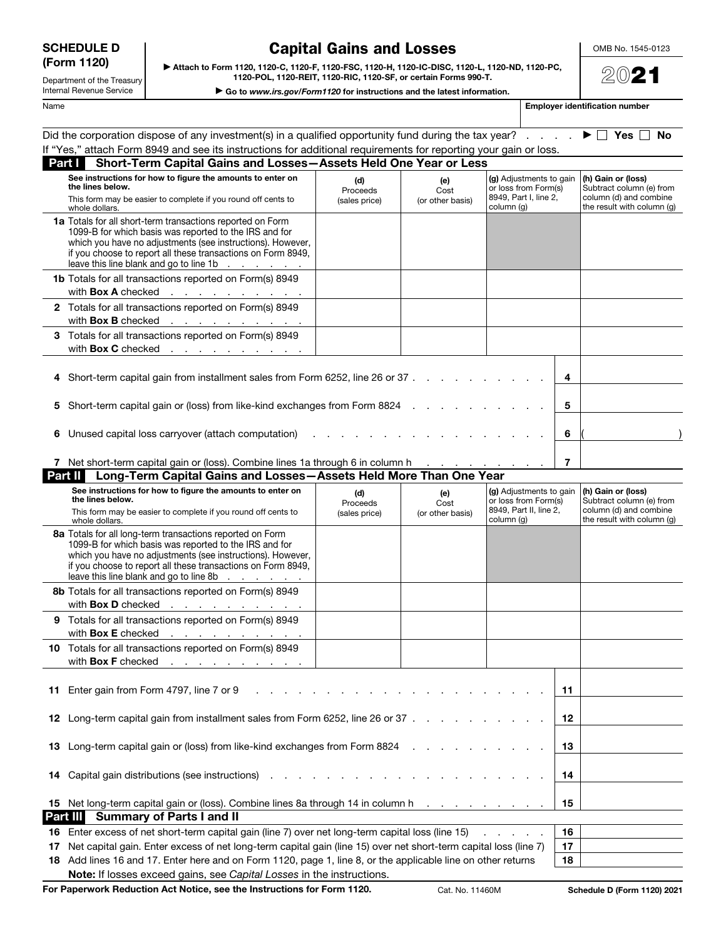## Capital Gains and Losses

OMB No. 1545-0123

2021

Department of the Treasury Internal Revenue Service

▶ Attach to Form 1120, 1120-C, 1120-F, 1120-FSC, 1120-H, 1120-IC-DISC, 1120-L, 1120-ND, 1120-PC, 1120-POL, 1120-REIT, 1120-RIC, 1120-SF, or certain Forms 990-T. ▶ Go to *www.irs.gov/Form1120* for instructions and the latest information.

| Name   |                                                                                                                                                                                                                                                                                                                                                  |                           |                          |                                                                          |  |    | <b>Employer identification number</b> |                                                                                  |    |  |
|--------|--------------------------------------------------------------------------------------------------------------------------------------------------------------------------------------------------------------------------------------------------------------------------------------------------------------------------------------------------|---------------------------|--------------------------|--------------------------------------------------------------------------|--|----|---------------------------------------|----------------------------------------------------------------------------------|----|--|
|        | Did the corporation dispose of any investment(s) in a qualified opportunity fund during the tax year?<br>If "Yes," attach Form 8949 and see its instructions for additional requirements for reporting your gain or loss.                                                                                                                        |                           |                          |                                                                          |  |    | $\blacktriangleright \Box$ Yes        |                                                                                  | No |  |
| Part I | Short-Term Capital Gains and Losses-Assets Held One Year or Less                                                                                                                                                                                                                                                                                 |                           |                          |                                                                          |  |    |                                       |                                                                                  |    |  |
|        | See instructions for how to figure the amounts to enter on<br>the lines below.                                                                                                                                                                                                                                                                   | (d)<br>Proceeds           | (e)<br>Cost              | (g) Adjustments to gain<br>or loss from Form(s)<br>8949, Part I, line 2, |  |    |                                       | (h) Gain or (loss)<br>Subtract column (e) from<br>column (d) and combine         |    |  |
|        | This form may be easier to complete if you round off cents to<br>whole dollars.                                                                                                                                                                                                                                                                  | (sales price)             | (or other basis)         | column (g)                                                               |  |    |                                       | the result with column (g)                                                       |    |  |
|        | <b>1a</b> Totals for all short-term transactions reported on Form<br>1099-B for which basis was reported to the IRS and for<br>which you have no adjustments (see instructions). However,<br>if you choose to report all these transactions on Form 8949,<br>leave this line blank and go to line 1b<br>$\mathbf{r}$<br>and a state of the state |                           |                          |                                                                          |  |    |                                       |                                                                                  |    |  |
|        | 1b Totals for all transactions reported on Form(s) 8949<br>with <b>Box A</b> checked<br>and the contract of the contract of                                                                                                                                                                                                                      |                           |                          |                                                                          |  |    |                                       |                                                                                  |    |  |
|        | 2 Totals for all transactions reported on Form(s) 8949<br>with <b>Box B</b> checked<br>and a series of the contract of the                                                                                                                                                                                                                       |                           |                          |                                                                          |  |    |                                       |                                                                                  |    |  |
| 3      | Totals for all transactions reported on Form(s) 8949<br>with Box C checked                                                                                                                                                                                                                                                                       |                           |                          |                                                                          |  |    |                                       |                                                                                  |    |  |
|        | Short-term capital gain from installment sales from Form 6252, line 26 or 37                                                                                                                                                                                                                                                                     |                           |                          |                                                                          |  | 4  |                                       |                                                                                  |    |  |
|        | Short-term capital gain or (loss) from like-kind exchanges from Form 8824 .                                                                                                                                                                                                                                                                      |                           |                          |                                                                          |  | 5  |                                       |                                                                                  |    |  |
| 6      | Unused capital loss carryover (attach computation)                                                                                                                                                                                                                                                                                               |                           |                          |                                                                          |  | 6  |                                       |                                                                                  |    |  |
|        | 7 Net short-term capital gain or (loss). Combine lines 1a through 6 in column h                                                                                                                                                                                                                                                                  |                           |                          |                                                                          |  | 7  |                                       |                                                                                  |    |  |
|        | Long-Term Capital Gains and Losses-Assets Held More Than One Year<br>Part II                                                                                                                                                                                                                                                                     |                           |                          |                                                                          |  |    |                                       |                                                                                  |    |  |
|        | See instructions for how to figure the amounts to enter on<br>(g) Adjustments to gain<br>(d)<br>(e)                                                                                                                                                                                                                                              |                           |                          |                                                                          |  |    |                                       | (h) Gain or (loss)                                                               |    |  |
|        | the lines below.<br>This form may be easier to complete if you round off cents to<br>whole dollars.                                                                                                                                                                                                                                              | Proceeds<br>(sales price) | Cost<br>(or other basis) | or loss from Form(s)<br>8949, Part II, line 2,<br>column (g)             |  |    |                                       | Subtract column (e) from<br>column (d) and combine<br>the result with column (g) |    |  |
|        | 8a Totals for all long-term transactions reported on Form<br>1099-B for which basis was reported to the IRS and for<br>which you have no adjustments (see instructions). However,<br>if you choose to report all these transactions on Form 8949,<br>leave this line blank and go to line 8b<br>and the same                                     |                           |                          |                                                                          |  |    |                                       |                                                                                  |    |  |
|        | 8b Totals for all transactions reported on Form(s) 8949<br>with <b>Box D</b> checked<br>and a state of the state of                                                                                                                                                                                                                              |                           |                          |                                                                          |  |    |                                       |                                                                                  |    |  |
| 9      | Totals for all transactions reported on Form(s) 8949<br>with Box E checked<br>and a series of the contract of the                                                                                                                                                                                                                                |                           |                          |                                                                          |  |    |                                       |                                                                                  |    |  |
|        | 10 Totals for all transactions reported on Form(s) 8949<br>with <b>Box F</b> checked<br>the contract of the contract of the con-                                                                                                                                                                                                                 |                           |                          |                                                                          |  |    |                                       |                                                                                  |    |  |
| 11     | Enter gain from Form 4797, line 7 or 9                                                                                                                                                                                                                                                                                                           |                           |                          |                                                                          |  | 11 |                                       |                                                                                  |    |  |
|        | 12 Long-term capital gain from installment sales from Form 6252, line 26 or 37                                                                                                                                                                                                                                                                   |                           |                          |                                                                          |  | 12 |                                       |                                                                                  |    |  |
| 13     | Long-term capital gain or (loss) from like-kind exchanges from Form 8824                                                                                                                                                                                                                                                                         |                           |                          |                                                                          |  | 13 |                                       |                                                                                  |    |  |
| 14     | Capital gain distributions (see instructions)<br>and the company of the company of the<br>$\mathbf{r}$                                                                                                                                                                                                                                           |                           |                          |                                                                          |  | 14 |                                       |                                                                                  |    |  |
| 15     | Net long-term capital gain or (loss). Combine lines 8a through 14 in column h                                                                                                                                                                                                                                                                    |                           |                          |                                                                          |  | 15 |                                       |                                                                                  |    |  |
|        | <b>Summary of Parts I and II</b><br>Part III                                                                                                                                                                                                                                                                                                     |                           |                          |                                                                          |  |    |                                       |                                                                                  |    |  |
| 16     | Enter excess of net short-term capital gain (line 7) over net long-term capital loss (line 15)                                                                                                                                                                                                                                                   |                           |                          | and a strategic and                                                      |  | 16 |                                       |                                                                                  |    |  |
| 17     | Net capital gain. Enter excess of net long-term capital gain (line 15) over net short-term capital loss (line 7)                                                                                                                                                                                                                                 |                           |                          |                                                                          |  | 17 |                                       |                                                                                  |    |  |

18 Add lines 16 and 17. Enter here and on Form 1120, page 1, line 8, or the applicable line on other returns 18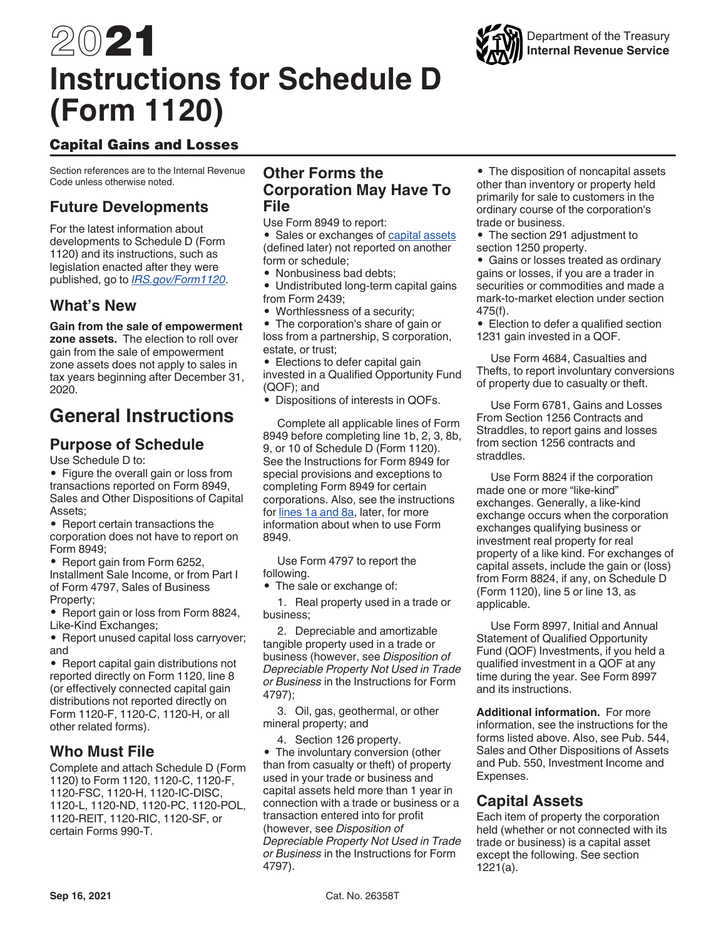# 2021 **Instructions for Schedule D (Form 1120)**

## Capital Gains and Losses

Section references are to the Internal Revenue Code unless otherwise noted.

## **Future Developments**

For the latest information about developments to Schedule D (Form 1120) and its instructions, such as legislation enacted after they were published, go to *[IRS.gov/Form1120](https://www.irs.gov/form1120)*.

## **What's New**

**Gain from the sale of empowerment zone assets.** The election to roll over gain from the sale of empowerment zone assets does not apply to sales in tax years beginning after December 31, 2020.

# **General Instructions**

## **Purpose of Schedule**

Use Schedule D to:

• Figure the overall gain or loss from transactions reported on Form 8949, Sales and Other Dispositions of Capital Assets;

• Report certain transactions the corporation does not have to report on Form 8949;

• Report gain from Form 6252, Installment Sale Income, or from Part I of Form 4797, Sales of Business Property;

• Report gain or loss from Form 8824, Like-Kind Exchanges;

• Report unused capital loss carryover; and

• Report capital gain distributions not reported directly on Form 1120, line 8 (or effectively connected capital gain distributions not reported directly on Form 1120-F, 1120-C, 1120-H, or all other related forms).

## **Who Must File**

Complete and attach Schedule D (Form 1120) to Form 1120, 1120-C, 1120-F, 1120-FSC, 1120-H, 1120-IC-DISC, 1120-L, 1120-ND, 1120-PC, 1120-POL, 1120-REIT, 1120-RIC, 1120-SF, or certain Forms 990-T.

### **Other Forms the Corporation May Have To File**

Use Form 8949 to report:

• Sales or exchanges of capital assets (defined later) not reported on another form or schedule;

• Nonbusiness bad debts;

• Undistributed long-term capital gains from Form 2439;

• Worthlessness of a security;

• The corporation's share of gain or loss from a partnership, S corporation, estate, or trust;

• Elections to defer capital gain invested in a Qualified Opportunity Fund (QOF); and

• Dispositions of interests in QOFs.

Complete all applicable lines of Form 8949 before completing line 1b, 2, 3, 8b, 9, or 10 of Schedule D (Form 1120). See the Instructions for Form 8949 for special provisions and exceptions to completing Form 8949 for certain corporations. Also, see the instructions for lines 1a and 8a, later, for more information about when to use Form 8949.

Use Form 4797 to report the following.

• The sale or exchange of:

1. Real property used in a trade or business;

2. Depreciable and amortizable tangible property used in a trade or business (however, see *Disposition of Depreciable Property Not Used in Trade or Business* in the Instructions for Form 4797);

3. Oil, gas, geothermal, or other mineral property; and

4. Section 126 property. • The involuntary conversion (other than from casualty or theft) of property used in your trade or business and capital assets held more than 1 year in connection with a trade or business or a transaction entered into for profit (however, see *Disposition of Depreciable Property Not Used in Trade or Business* in the Instructions for Form 4797).

• The disposition of noncapital assets other than inventory or property held primarily for sale to customers in the ordinary course of the corporation's trade or business.

• The section 291 adjustment to section 1250 property.

• Gains or losses treated as ordinary gains or losses, if you are a trader in securities or commodities and made a mark-to-market election under section 475(f).

• Election to defer a qualified section 1231 gain invested in a QOF.

Use Form 4684, Casualties and Thefts, to report involuntary conversions of property due to casualty or theft.

Use Form 6781, Gains and Losses From Section 1256 Contracts and Straddles, to report gains and losses from section 1256 contracts and straddles.

Use Form 8824 if the corporation made one or more "like-kind" exchanges. Generally, a like-kind exchange occurs when the corporation exchanges qualifying business or investment real property for real property of a like kind. For exchanges of capital assets, include the gain or (loss) from Form 8824, if any, on Schedule D (Form 1120), line 5 or line 13, as applicable.

Use Form 8997, Initial and Annual Statement of Qualified Opportunity Fund (QOF) Investments, if you held a qualified investment in a QOF at any time during the year. See Form 8997 and its instructions.

**Additional information.** For more information, see the instructions for the forms listed above. Also, see Pub. 544, Sales and Other Dispositions of Assets and Pub. 550, Investment Income and Expenses.

## **Capital Assets**

Each item of property the corporation held (whether or not connected with its trade or business) is a capital asset except the following. See section 1221(a).

Department of the Treasury **Internal Revenue Service**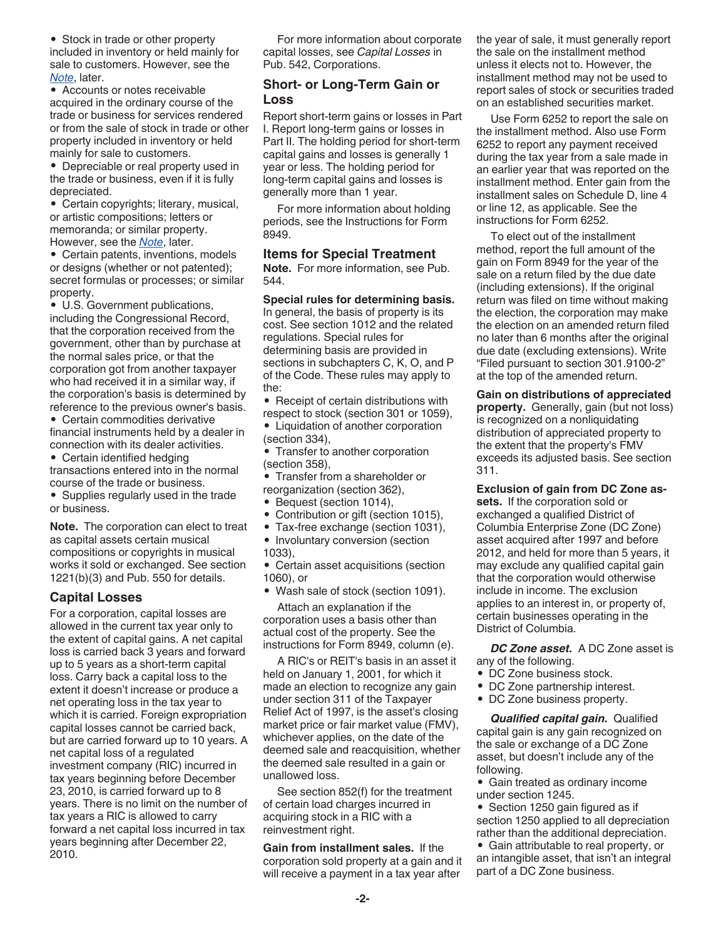• Stock in trade or other property included in inventory or held mainly for sale to customers. However, see the *Note*, later.

• Accounts or notes receivable acquired in the ordinary course of the trade or business for services rendered or from the sale of stock in trade or other property included in inventory or held mainly for sale to customers.

• Depreciable or real property used in the trade or business, even if it is fully depreciated.

• Certain copyrights; literary, musical, or artistic compositions; letters or memoranda; or similar property. However, see the *Note*, later.

• Certain patents, inventions, models or designs (whether or not patented); secret formulas or processes; or similar property.

• U.S. Government publications, including the Congressional Record, that the corporation received from the government, other than by purchase at the normal sales price, or that the corporation got from another taxpayer who had received it in a similar way, if the corporation's basis is determined by reference to the previous owner's basis.

• Certain commodities derivative financial instruments held by a dealer in connection with its dealer activities.

• Certain identified hedging transactions entered into in the normal course of the trade or business.

• Supplies regularly used in the trade or business.

**Note.** The corporation can elect to treat as capital assets certain musical compositions or copyrights in musical works it sold or exchanged. See section 1221(b)(3) and Pub. 550 for details.

#### **Capital Losses**

For a corporation, capital losses are allowed in the current tax year only to the extent of capital gains. A net capital loss is carried back 3 years and forward up to 5 years as a short-term capital loss. Carry back a capital loss to the extent it doesn't increase or produce a net operating loss in the tax year to which it is carried. Foreign expropriation capital losses cannot be carried back, but are carried forward up to 10 years. A net capital loss of a regulated investment company (RIC) incurred in tax years beginning before December 23, 2010, is carried forward up to 8 years. There is no limit on the number of tax years a RIC is allowed to carry forward a net capital loss incurred in tax years beginning after December 22, 2010.

For more information about corporate capital losses, see *Capital Losses* in Pub. 542, Corporations.

#### **Short- or Long-Term Gain or Loss**

Report short-term gains or losses in Part I. Report long-term gains or losses in Part II. The holding period for short-term capital gains and losses is generally 1 year or less. The holding period for long-term capital gains and losses is generally more than 1 year.

For more information about holding periods, see the Instructions for Form 8949.

#### **Items for Special Treatment**

**Note.** For more information, see Pub. 544.

**Special rules for determining basis.**  In general, the basis of property is its cost. See section 1012 and the related regulations. Special rules for determining basis are provided in sections in subchapters C, K, O, and P of the Code. These rules may apply to the:

• Receipt of certain distributions with respect to stock (section 301 or 1059),

- Liquidation of another corporation (section 334),
- Transfer to another corporation (section 358),
- Transfer from a shareholder or reorganization (section 362),
- Bequest (section 1014),
- Contribution or gift (section 1015),
- Tax-free exchange (section 1031),
- Involuntary conversion (section 1033),

• Certain asset acquisitions (section 1060), or

• Wash sale of stock (section 1091).

Attach an explanation if the corporation uses a basis other than actual cost of the property. See the instructions for Form 8949, column (e).

A RIC's or REIT's basis in an asset it held on January 1, 2001, for which it made an election to recognize any gain under section 311 of the Taxpayer Relief Act of 1997, is the asset's closing market price or fair market value (FMV), whichever applies, on the date of the deemed sale and reacquisition, whether the deemed sale resulted in a gain or unallowed loss.

See section 852(f) for the treatment of certain load charges incurred in acquiring stock in a RIC with a reinvestment right.

**Gain from installment sales.** If the corporation sold property at a gain and it will receive a payment in a tax year after

the year of sale, it must generally report the sale on the installment method unless it elects not to. However, the installment method may not be used to report sales of stock or securities traded on an established securities market.

Use Form 6252 to report the sale on the installment method. Also use Form 6252 to report any payment received during the tax year from a sale made in an earlier year that was reported on the installment method. Enter gain from the installment sales on Schedule D, line 4 or line 12, as applicable. See the instructions for Form 6252.

To elect out of the installment method, report the full amount of the gain on Form 8949 for the year of the sale on a return filed by the due date (including extensions). If the original return was filed on time without making the election, the corporation may make the election on an amended return filed no later than 6 months after the original due date (excluding extensions). Write "Filed pursuant to section 301.9100-2" at the top of the amended return.

#### **Gain on distributions of appreciated**

**property.** Generally, gain (but not loss) is recognized on a nonliquidating distribution of appreciated property to the extent that the property's FMV exceeds its adjusted basis. See section 311.

**Exclusion of gain from DC Zone assets.** If the corporation sold or

exchanged a qualified District of Columbia Enterprise Zone (DC Zone) asset acquired after 1997 and before 2012, and held for more than 5 years, it may exclude any qualified capital gain that the corporation would otherwise include in income. The exclusion applies to an interest in, or property of, certain businesses operating in the District of Columbia.

*DC Zone asset.* A DC Zone asset is any of the following.

- DC Zone business stock.
- DC Zone partnership interest.
- DC Zone business property.

*Qualified capital gain.* Qualified capital gain is any gain recognized on the sale or exchange of a DC Zone asset, but doesn't include any of the following.

• Gain treated as ordinary income under section 1245.

• Section 1250 gain figured as if section 1250 applied to all depreciation rather than the additional depreciation.

• Gain attributable to real property, or an intangible asset, that isn't an integral part of a DC Zone business.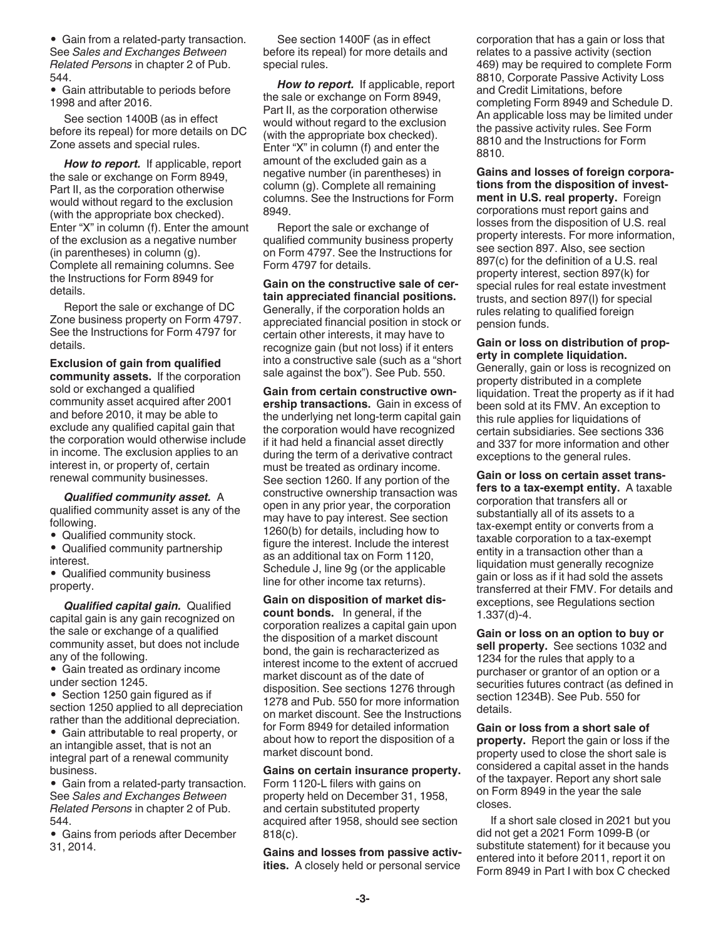• Gain from a related-party transaction. See *Sales and Exchanges Between Related Persons* in chapter 2 of Pub. 544.

• Gain attributable to periods before 1998 and after 2016.

See section 1400B (as in effect before its repeal) for more details on DC Zone assets and special rules.

*How to report.* If applicable, report the sale or exchange on Form 8949, Part II, as the corporation otherwise would without regard to the exclusion (with the appropriate box checked). Enter "X" in column (f). Enter the amount of the exclusion as a negative number (in parentheses) in column (g). Complete all remaining columns. See the Instructions for Form 8949 for details.

Report the sale or exchange of DC Zone business property on Form 4797. See the Instructions for Form 4797 for details.

**Exclusion of gain from qualified community assets.** If the corporation sold or exchanged a qualified community asset acquired after 2001 and before 2010, it may be able to exclude any qualified capital gain that the corporation would otherwise include in income. The exclusion applies to an interest in, or property of, certain renewal community businesses.

#### *Qualified community asset.* A

qualified community asset is any of the following.

• Qualified community stock.

• Qualified community partnership interest.

• Qualified community business property.

*Qualified capital gain.* Qualified capital gain is any gain recognized on the sale or exchange of a qualified community asset, but does not include any of the following.

• Gain treated as ordinary income under section 1245.

• Section 1250 gain figured as if section 1250 applied to all depreciation rather than the additional depreciation.

• Gain attributable to real property, or an intangible asset, that is not an integral part of a renewal community business.

• Gain from a related-party transaction. See *Sales and Exchanges Between Related Persons* in chapter 2 of Pub. 544.

• Gains from periods after December 31, 2014.

See section 1400F (as in effect before its repeal) for more details and special rules.

*How to report.* If applicable, report the sale or exchange on Form 8949, Part II, as the corporation otherwise would without regard to the exclusion (with the appropriate box checked). Enter "X" in column (f) and enter the amount of the excluded gain as a negative number (in parentheses) in column (g). Complete all remaining columns. See the Instructions for Form 8949.

Report the sale or exchange of qualified community business property on Form 4797. See the Instructions for Form 4797 for details.

**Gain on the constructive sale of certain appreciated financial positions.**  Generally, if the corporation holds an appreciated financial position in stock or certain other interests, it may have to recognize gain (but not loss) if it enters into a constructive sale (such as a "short sale against the box"). See Pub. 550.

**Gain from certain constructive ownership transactions.** Gain in excess of the underlying net long-term capital gain the corporation would have recognized if it had held a financial asset directly during the term of a derivative contract must be treated as ordinary income. See section 1260. If any portion of the constructive ownership transaction was open in any prior year, the corporation may have to pay interest. See section 1260(b) for details, including how to figure the interest. Include the interest as an additional tax on Form 1120, Schedule J, line 9g (or the applicable line for other income tax returns).

**Gain on disposition of market discount bonds.** In general, if the corporation realizes a capital gain upon the disposition of a market discount bond, the gain is recharacterized as interest income to the extent of accrued market discount as of the date of disposition. See sections 1276 through 1278 and Pub. 550 for more information on market discount. See the Instructions for Form 8949 for detailed information about how to report the disposition of a market discount bond.

**Gains on certain insurance property.**  Form 1120-L filers with gains on property held on December 31, 1958, and certain substituted property acquired after 1958, should see section 818(c).

**Gains and losses from passive activities.** A closely held or personal service

corporation that has a gain or loss that relates to a passive activity (section 469) may be required to complete Form 8810, Corporate Passive Activity Loss and Credit Limitations, before completing Form 8949 and Schedule D. An applicable loss may be limited under the passive activity rules. See Form 8810 and the Instructions for Form 8810.

**Gains and losses of foreign corporations from the disposition of investment in U.S. real property.** Foreign corporations must report gains and losses from the disposition of U.S. real property interests. For more information, see section 897. Also, see section 897(c) for the definition of a U.S. real property interest, section 897(k) for special rules for real estate investment trusts, and section 897(l) for special rules relating to qualified foreign pension funds.

#### **Gain or loss on distribution of property in complete liquidation.**

Generally, gain or loss is recognized on property distributed in a complete liquidation. Treat the property as if it had been sold at its FMV. An exception to this rule applies for liquidations of certain subsidiaries. See sections 336 and 337 for more information and other exceptions to the general rules.

**Gain or loss on certain asset transfers to a tax-exempt entity.** A taxable corporation that transfers all or substantially all of its assets to a tax-exempt entity or converts from a taxable corporation to a tax-exempt entity in a transaction other than a liquidation must generally recognize gain or loss as if it had sold the assets transferred at their FMV. For details and exceptions, see Regulations section 1.337(d)-4.

**Gain or loss on an option to buy or sell property.** See sections 1032 and 1234 for the rules that apply to a purchaser or grantor of an option or a securities futures contract (as defined in section 1234B). See Pub. 550 for details.

**Gain or loss from a short sale of property.** Report the gain or loss if the property used to close the short sale is considered a capital asset in the hands of the taxpayer. Report any short sale on Form 8949 in the year the sale closes.

If a short sale closed in 2021 but you did not get a 2021 Form 1099-B (or substitute statement) for it because you entered into it before 2011, report it on Form 8949 in Part I with box C checked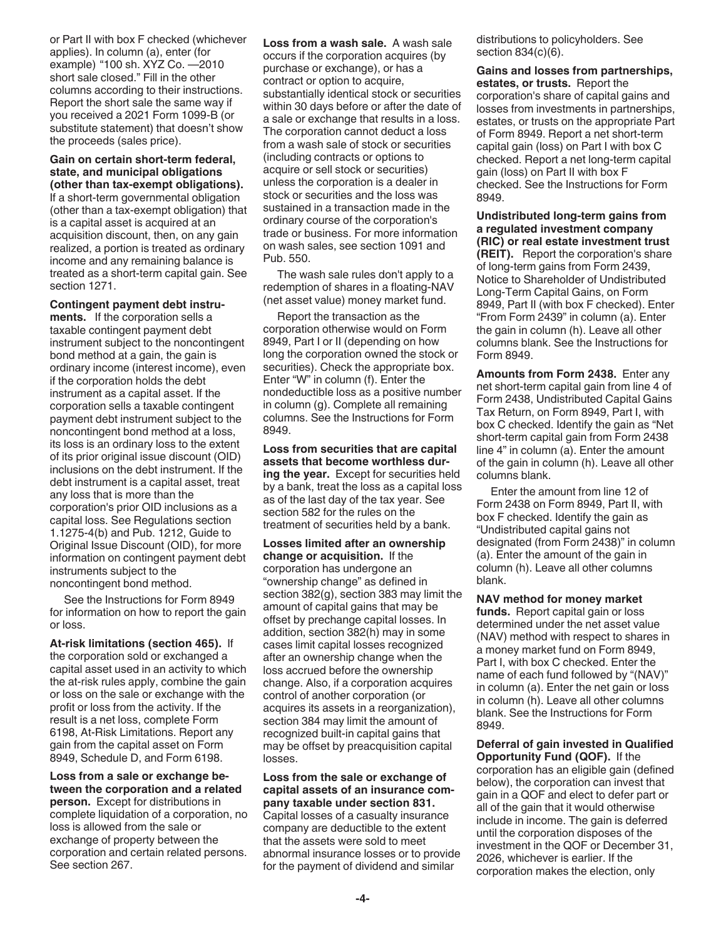or Part II with box F checked (whichever applies). In column (a), enter (for example) "100 sh. XYZ Co. —2010 short sale closed." Fill in the other columns according to their instructions. Report the short sale the same way if you received a 2021 Form 1099-B (or substitute statement) that doesn't show the proceeds (sales price).

#### **Gain on certain short-term federal, state, and municipal obligations (other than tax-exempt obligations).**

If a short-term governmental obligation (other than a tax-exempt obligation) that is a capital asset is acquired at an acquisition discount, then, on any gain realized, a portion is treated as ordinary income and any remaining balance is treated as a short-term capital gain. See section 1271.

**Contingent payment debt instruments.** If the corporation sells a taxable contingent payment debt instrument subject to the noncontingent bond method at a gain, the gain is ordinary income (interest income), even if the corporation holds the debt instrument as a capital asset. If the corporation sells a taxable contingent payment debt instrument subject to the noncontingent bond method at a loss, its loss is an ordinary loss to the extent of its prior original issue discount (OID) inclusions on the debt instrument. If the debt instrument is a capital asset, treat any loss that is more than the corporation's prior OID inclusions as a capital loss. See Regulations section 1.1275-4(b) and Pub. 1212, Guide to Original Issue Discount (OID), for more information on contingent payment debt instruments subject to the noncontingent bond method.

See the Instructions for Form 8949 for information on how to report the gain or loss.

**At-risk limitations (section 465).** If the corporation sold or exchanged a capital asset used in an activity to which the at-risk rules apply, combine the gain or loss on the sale or exchange with the profit or loss from the activity. If the result is a net loss, complete Form 6198, At-Risk Limitations. Report any gain from the capital asset on Form 8949, Schedule D, and Form 6198.

**Loss from a sale or exchange between the corporation and a related person.** Except for distributions in complete liquidation of a corporation, no loss is allowed from the sale or exchange of property between the corporation and certain related persons. See section 267.

**Loss from a wash sale.** A wash sale occurs if the corporation acquires (by purchase or exchange), or has a contract or option to acquire, substantially identical stock or securities within 30 days before or after the date of a sale or exchange that results in a loss. The corporation cannot deduct a loss from a wash sale of stock or securities (including contracts or options to acquire or sell stock or securities) unless the corporation is a dealer in stock or securities and the loss was sustained in a transaction made in the ordinary course of the corporation's trade or business. For more information on wash sales, see section 1091 and Pub. 550.

The wash sale rules don't apply to a redemption of shares in a floating-NAV (net asset value) money market fund.

Report the transaction as the corporation otherwise would on Form 8949, Part I or II (depending on how long the corporation owned the stock or securities). Check the appropriate box. Enter "W" in column (f). Enter the nondeductible loss as a positive number in column (g). Complete all remaining columns. See the Instructions for Form 8949.

**Loss from securities that are capital assets that become worthless during the year.** Except for securities held by a bank, treat the loss as a capital loss as of the last day of the tax year. See section 582 for the rules on the treatment of securities held by a bank.

**Losses limited after an ownership change or acquisition.** If the corporation has undergone an "ownership change" as defined in section 382(g), section 383 may limit the amount of capital gains that may be offset by prechange capital losses. In addition, section 382(h) may in some cases limit capital losses recognized after an ownership change when the loss accrued before the ownership change. Also, if a corporation acquires control of another corporation (or acquires its assets in a reorganization), section 384 may limit the amount of recognized built-in capital gains that may be offset by preacquisition capital losses.

#### **Loss from the sale or exchange of capital assets of an insurance company taxable under section 831.**

Capital losses of a casualty insurance company are deductible to the extent that the assets were sold to meet abnormal insurance losses or to provide for the payment of dividend and similar

distributions to policyholders. See section 834(c)(6).

**Gains and losses from partnerships, estates, or trusts.** Report the corporation's share of capital gains and losses from investments in partnerships, estates, or trusts on the appropriate Part of Form 8949. Report a net short-term capital gain (loss) on Part I with box C checked. Report a net long-term capital gain (loss) on Part II with box F checked. See the Instructions for Form 8949.

**Undistributed long-term gains from a regulated investment company (RIC) or real estate investment trust (REIT).** Report the corporation's share of long-term gains from Form 2439, Notice to Shareholder of Undistributed Long-Term Capital Gains, on Form 8949, Part II (with box F checked). Enter "From Form 2439" in column (a). Enter the gain in column (h). Leave all other columns blank. See the Instructions for Form 8949.

**Amounts from Form 2438.** Enter any net short-term capital gain from line 4 of Form 2438, Undistributed Capital Gains Tax Return, on Form 8949, Part I, with box C checked. Identify the gain as "Net short-term capital gain from Form 2438 line 4" in column (a). Enter the amount of the gain in column (h). Leave all other columns blank.

Enter the amount from line 12 of Form 2438 on Form 8949, Part II, with box F checked. Identify the gain as "Undistributed capital gains not designated (from Form 2438)" in column (a). Enter the amount of the gain in column (h). Leave all other columns blank.

**NAV method for money market funds.** Report capital gain or loss determined under the net asset value (NAV) method with respect to shares in a money market fund on Form 8949, Part I, with box C checked. Enter the name of each fund followed by "(NAV)" in column (a). Enter the net gain or loss in column (h). Leave all other columns blank. See the Instructions for Form 8949.

**Deferral of gain invested in Qualified Opportunity Fund (QOF).** If the corporation has an eligible gain (defined below), the corporation can invest that gain in a QOF and elect to defer part or all of the gain that it would otherwise include in income. The gain is deferred until the corporation disposes of the investment in the QOF or December 31, 2026, whichever is earlier. If the corporation makes the election, only